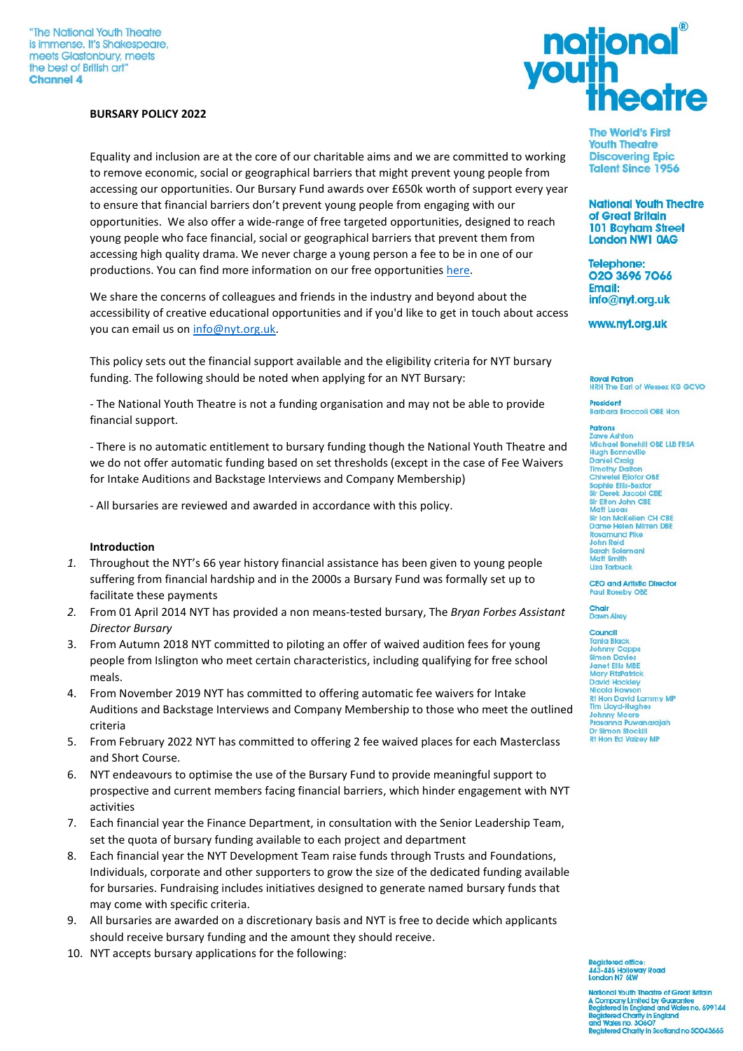#### **BURSARY POLICY 2022**

Equality and inclusion are at the core of our charitable aims and we are committed to working to remove economic, social or geographical barriers that might prevent young people from accessing our opportunities. Our Bursary Fund awards over £650k worth of support every year to ensure that financial barriers don't prevent young people from engaging with our opportunities. We also offer a wide-range of free targeted opportunities, designed to reach young people who face financial, social or geographical barriers that prevent them from accessing high quality drama. We never charge a young person a fee to be in one of our productions. You can find more information on our free opportunities [here.](https://www.nyt.org.uk/access)

We share the concerns of colleagues and friends in the industry and beyond about the accessibility of creative educational opportunities and if you'd like to get in touch about access you can email us o[n info@nyt.org.uk.](mailto:info@nyt.org.uk)

This policy sets out the financial support available and the eligibility criteria for NYT bursary funding. The following should be noted when applying for an NYT Bursary:

- The National Youth Theatre is not a funding organisation and may not be able to provide financial support.

- There is no automatic entitlement to bursary funding though the National Youth Theatre and we do not offer automatic funding based on set thresholds (except in the case of Fee Waivers for Intake Auditions and Backstage Interviews and Company Membership)

- All bursaries are reviewed and awarded in accordance with this policy.

#### **Introduction**

- *1.* Throughout the NYT's 66 year history financial assistance has been given to young people suffering from financial hardship and in the 2000s a Bursary Fund was formally set up to facilitate these payments
- *2.* From 01 April 2014 NYT has provided a non means-tested bursary, The *Bryan Forbes Assistant Director Bursary*
- 3. From Autumn 2018 NYT committed to piloting an offer of waived audition fees for young people from Islington who meet certain characteristics, including qualifying for free school meals.
- 4. From November 2019 NYT has committed to offering automatic fee waivers for Intake Auditions and Backstage Interviews and Company Membership to those who meet the outlined criteria
- 5. From February 2022 NYT has committed to offering 2 fee waived places for each Masterclass and Short Course.
- 6. NYT endeavours to optimise the use of the Bursary Fund to provide meaningful support to prospective and current members facing financial barriers, which hinder engagement with NYT activities
- 7. Each financial year the Finance Department, in consultation with the Senior Leadership Team, set the quota of bursary funding available to each project and department
- 8. Each financial year the NYT Development Team raise funds through Trusts and Foundations, Individuals, corporate and other supporters to grow the size of the dedicated funding available for bursaries. Fundraising includes initiatives designed to generate named bursary funds that may come with specific criteria.
- 9. All bursaries are awarded on a discretionary basis and NYT is free to decide which applicants should receive bursary funding and the amount they should receive.
- 10. NYT accepts bursary applications for the following:



**The World's First Youth Theatre Discovering Epic Talent Since 1956** 

**National Youth Theatre** of Great Britain **101 Bayham Street London NW1 0AG** 

**Telephone:** 020 3696 7066 **Email:** info@nyt.org.uk

www.nyt.org.uk

**Royal Patron HRH The Earl of Wessex KG GCVO** 

President **Barbara Broccoli OBE Hon** 

**Patrons** Zawe Ashton Michael Bonehill OBE LLB FRSA<br>Hugh Bonneville **Daniel Craig** Timothy Dalton<br>Chiwetel Ejiofor OBE Sophie Ellis-Bexto Sir Derek Jacobi CBE<br>Sir Elton John CBE Matt Lucas Sir Ian McKellen CH CBE<br>Dame Helen Mirren DBE **Rosamund Pike** John Reid Sarah Solemani<br>Matt Smith Liza Tarbuck

**CEO and Artistic Director** Paul Roseby OBE

**Chair**<br>Dawn Airey

#### Council

Tania Black<br>Johnny Capps Simon Davies Janet Ellis MBE<br>Mary FitzPatrick David Hockley Nicola Hot **Rt Hon David Lammy MP Tim Lloyd-Hughes** Johnny Moore<br>Prasanna Puwanarajah Dr Simon Stockill **Rt Hon Ed Valzey MP** 

cistered office **AA3. AAE Lin** way Road i3-445 Hollow<br>Indon N7 6LW

**National Youth Theatre of Great Britain** National Trivial Department of Science<br>Registered in England and Wales no. 699144<br>Registered Charity in England<br>and Wales no. 30607<br>Registered Charity in Scolland no SCO43665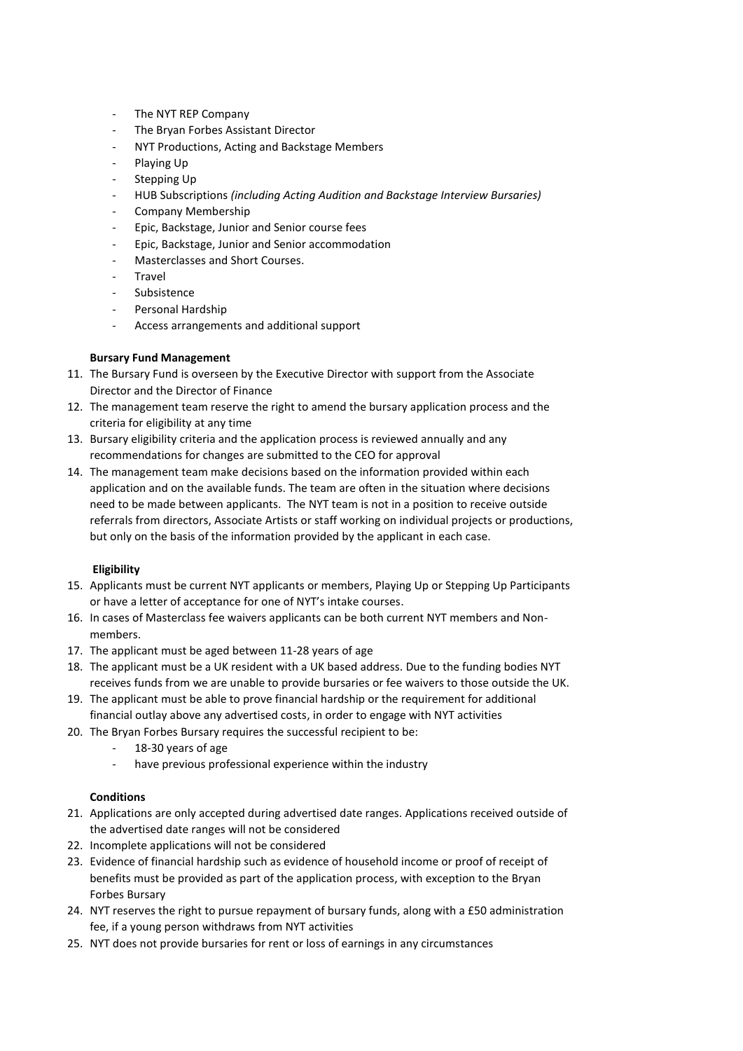- The NYT REP Company
- The Bryan Forbes Assistant Director
- NYT Productions, Acting and Backstage Members
- Playing Up
- Stepping Up
- HUB Subscriptions *(including Acting Audition and Backstage Interview Bursaries)*
- Company Membership
- Epic, Backstage, Junior and Senior course fees
- Epic, Backstage, Junior and Senior accommodation
- Masterclasses and Short Courses.
- **Travel**
- Subsistence
- Personal Hardship
- Access arrangements and additional support

# **Bursary Fund Management**

- 11. The Bursary Fund is overseen by the Executive Director with support from the Associate Director and the Director of Finance
- 12. The management team reserve the right to amend the bursary application process and the criteria for eligibility at any time
- 13. Bursary eligibility criteria and the application process is reviewed annually and any recommendations for changes are submitted to the CEO for approval
- 14. The management team make decisions based on the information provided within each application and on the available funds. The team are often in the situation where decisions need to be made between applicants. The NYT team is not in a position to receive outside referrals from directors, Associate Artists or staff working on individual projects or productions, but only on the basis of the information provided by the applicant in each case.

### **Eligibility**

- 15. Applicants must be current NYT applicants or members, Playing Up or Stepping Up Participants or have a letter of acceptance for one of NYT's intake courses.
- 16. In cases of Masterclass fee waivers applicants can be both current NYT members and Nonmembers.
- 17. The applicant must be aged between 11-28 years of age
- 18. The applicant must be a UK resident with a UK based address. Due to the funding bodies NYT receives funds from we are unable to provide bursaries or fee waivers to those outside the UK.
- 19. The applicant must be able to prove financial hardship or the requirement for additional financial outlay above any advertised costs, in order to engage with NYT activities
- 20. The Bryan Forbes Bursary requires the successful recipient to be:
	- 18-30 years of age
	- have previous professional experience within the industry

# **Conditions**

- 21. Applications are only accepted during advertised date ranges. Applications received outside of the advertised date ranges will not be considered
- 22. Incomplete applications will not be considered
- 23. Evidence of financial hardship such as evidence of household income or proof of receipt of benefits must be provided as part of the application process, with exception to the Bryan Forbes Bursary
- 24. NYT reserves the right to pursue repayment of bursary funds, along with a £50 administration fee, if a young person withdraws from NYT activities
- 25. NYT does not provide bursaries for rent or loss of earnings in any circumstances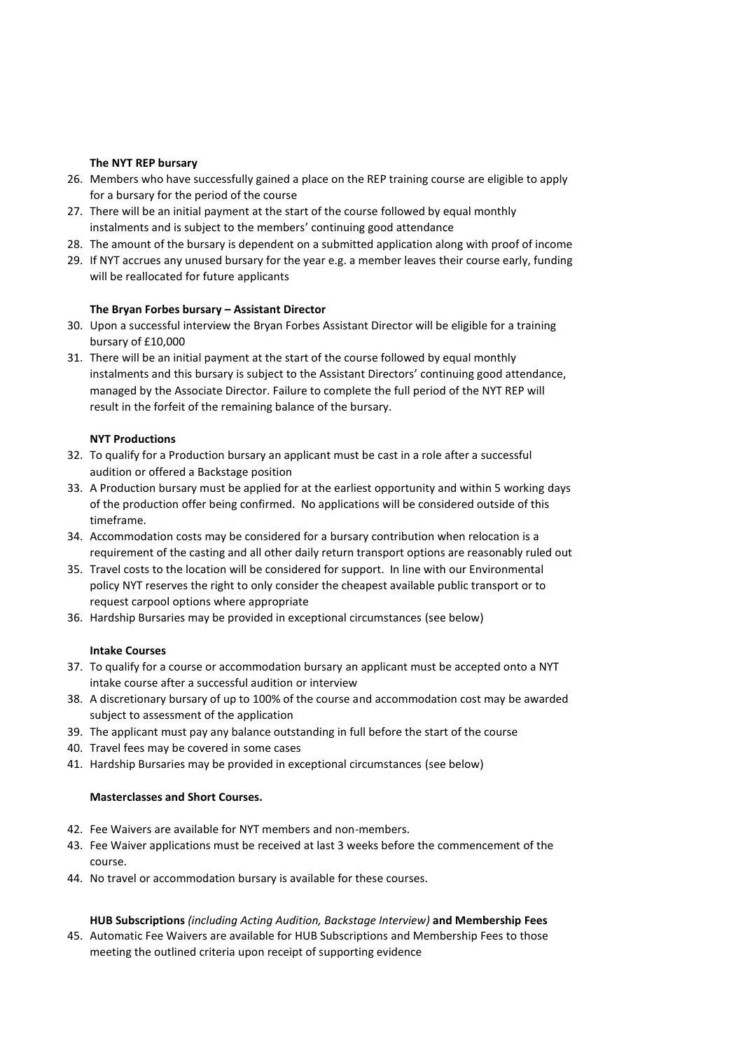# **The NYT REP bursary**

- 26. Members who have successfully gained a place on the REP training course are eligible to apply for a bursary for the period of the course
- 27. There will be an initial payment at the start of the course followed by equal monthly instalments and is subject to the members' continuing good attendance
- 28. The amount of the bursary is dependent on a submitted application along with proof of income
- 29. If NYT accrues any unused bursary for the year e.g. a member leaves their course early, funding will be reallocated for future applicants

# **The Bryan Forbes bursary – Assistant Director**

- 30. Upon a successful interview the Bryan Forbes Assistant Director will be eligible for a training bursary of £10,000
- 31. There will be an initial payment at the start of the course followed by equal monthly instalments and this bursary is subject to the Assistant Directors' continuing good attendance, managed by the Associate Director. Failure to complete the full period of the NYT REP will result in the forfeit of the remaining balance of the bursary.

### **NYT Productions**

- 32. To qualify for a Production bursary an applicant must be cast in a role after a successful audition or offered a Backstage position
- 33. A Production bursary must be applied for at the earliest opportunity and within 5 working days of the production offer being confirmed. No applications will be considered outside of this timeframe.
- 34. Accommodation costs may be considered for a bursary contribution when relocation is a requirement of the casting and all other daily return transport options are reasonably ruled out
- 35. Travel costs to the location will be considered for support. In line with our Environmental policy NYT reserves the right to only consider the cheapest available public transport or to request carpool options where appropriate
- 36. Hardship Bursaries may be provided in exceptional circumstances (see below)

### **Intake Courses**

- 37. To qualify for a course or accommodation bursary an applicant must be accepted onto a NYT intake course after a successful audition or interview
- 38. A discretionary bursary of up to 100% of the course and accommodation cost may be awarded subject to assessment of the application
- 39. The applicant must pay any balance outstanding in full before the start of the course
- 40. Travel fees may be covered in some cases
- 41. Hardship Bursaries may be provided in exceptional circumstances (see below)

### **Masterclasses and Short Courses.**

- 42. Fee Waivers are available for NYT members and non-members.
- 43. Fee Waiver applications must be received at last 3 weeks before the commencement of the course.
- 44. No travel or accommodation bursary is available for these courses.

# **HUB Subscriptions** *(including Acting Audition, Backstage Interview)* **and Membership Fees**

45. Automatic Fee Waivers are available for HUB Subscriptions and Membership Fees to those meeting the outlined criteria upon receipt of supporting evidence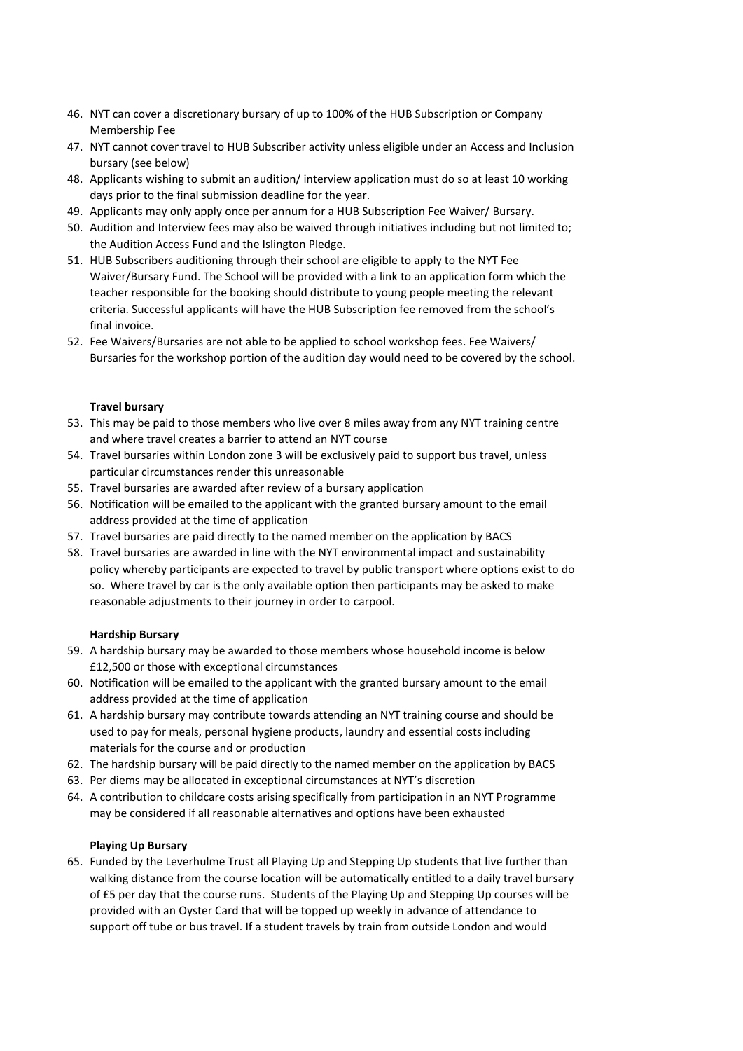- 46. NYT can cover a discretionary bursary of up to 100% of the HUB Subscription or Company Membership Fee
- 47. NYT cannot cover travel to HUB Subscriber activity unless eligible under an Access and Inclusion bursary (see below)
- 48. Applicants wishing to submit an audition/ interview application must do so at least 10 working days prior to the final submission deadline for the year.
- 49. Applicants may only apply once per annum for a HUB Subscription Fee Waiver/ Bursary.
- 50. Audition and Interview fees may also be waived through initiatives including but not limited to; the Audition Access Fund and the Islington Pledge.
- 51. HUB Subscribers auditioning through their school are eligible to apply to the NYT Fee Waiver/Bursary Fund. The School will be provided with a link to an application form which the teacher responsible for the booking should distribute to young people meeting the relevant criteria. Successful applicants will have the HUB Subscription fee removed from the school's final invoice.
- 52. Fee Waivers/Bursaries are not able to be applied to school workshop fees. Fee Waivers/ Bursaries for the workshop portion of the audition day would need to be covered by the school.

# **Travel bursary**

- 53. This may be paid to those members who live over 8 miles away from any NYT training centre and where travel creates a barrier to attend an NYT course
- 54. Travel bursaries within London zone 3 will be exclusively paid to support bus travel, unless particular circumstances render this unreasonable
- 55. Travel bursaries are awarded after review of a bursary application
- 56. Notification will be emailed to the applicant with the granted bursary amount to the email address provided at the time of application
- 57. Travel bursaries are paid directly to the named member on the application by BACS
- 58. Travel bursaries are awarded in line with the NYT environmental impact and sustainability policy whereby participants are expected to travel by public transport where options exist to do so. Where travel by car is the only available option then participants may be asked to make reasonable adjustments to their journey in order to carpool.

# **Hardship Bursary**

- 59. A hardship bursary may be awarded to those members whose household income is below £12,500 or those with exceptional circumstances
- 60. Notification will be emailed to the applicant with the granted bursary amount to the email address provided at the time of application
- 61. A hardship bursary may contribute towards attending an NYT training course and should be used to pay for meals, personal hygiene products, laundry and essential costs including materials for the course and or production
- 62. The hardship bursary will be paid directly to the named member on the application by BACS
- 63. Per diems may be allocated in exceptional circumstances at NYT's discretion
- 64. A contribution to childcare costs arising specifically from participation in an NYT Programme may be considered if all reasonable alternatives and options have been exhausted

### **Playing Up Bursary**

65. Funded by the Leverhulme Trust all Playing Up and Stepping Up students that live further than walking distance from the course location will be automatically entitled to a daily travel bursary of £5 per day that the course runs. Students of the Playing Up and Stepping Up courses will be provided with an Oyster Card that will be topped up weekly in advance of attendance to support off tube or bus travel. If a student travels by train from outside London and would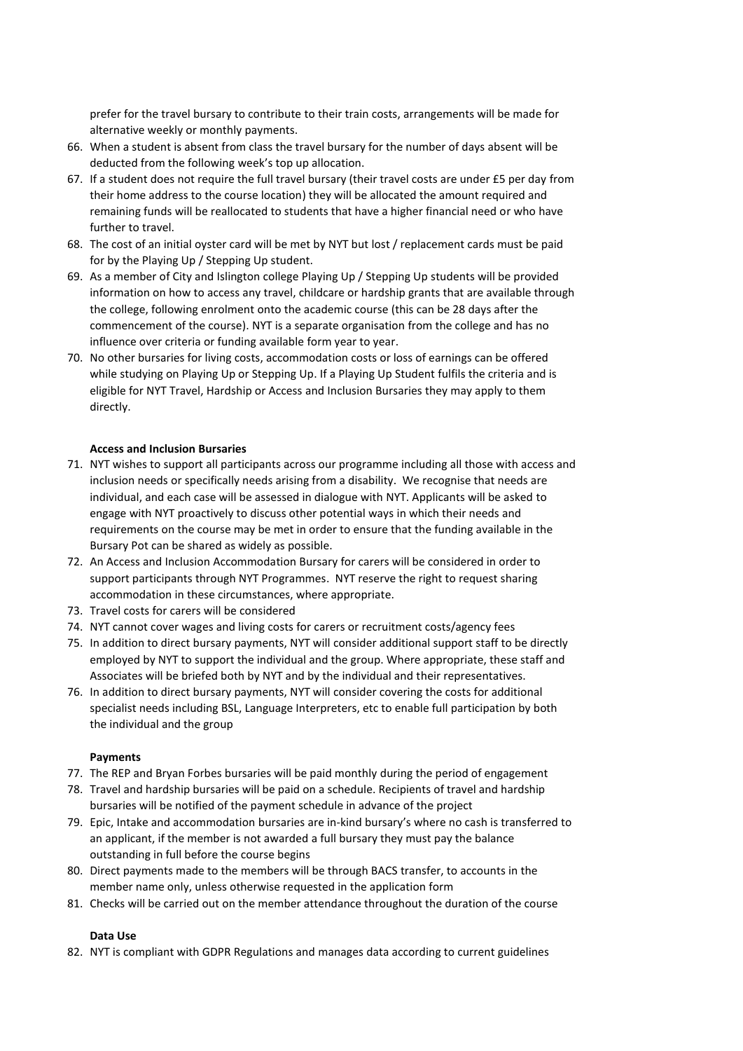prefer for the travel bursary to contribute to their train costs, arrangements will be made for alternative weekly or monthly payments.

- 66. When a student is absent from class the travel bursary for the number of days absent will be deducted from the following week's top up allocation.
- 67. If a student does not require the full travel bursary (their travel costs are under £5 per day from their home address to the course location) they will be allocated the amount required and remaining funds will be reallocated to students that have a higher financial need or who have further to travel.
- 68. The cost of an initial oyster card will be met by NYT but lost / replacement cards must be paid for by the Playing Up / Stepping Up student.
- 69. As a member of City and Islington college Playing Up / Stepping Up students will be provided information on how to access any travel, childcare or hardship grants that are available through the college, following enrolment onto the academic course (this can be 28 days after the commencement of the course). NYT is a separate organisation from the college and has no influence over criteria or funding available form year to year.
- 70. No other bursaries for living costs, accommodation costs or loss of earnings can be offered while studying on Playing Up or Stepping Up. If a Playing Up Student fulfils the criteria and is eligible for NYT Travel, Hardship or Access and Inclusion Bursaries they may apply to them directly.

# **Access and Inclusion Bursaries**

- 71. NYT wishes to support all participants across our programme including all those with access and inclusion needs or specifically needs arising from a disability. We recognise that needs are individual, and each case will be assessed in dialogue with NYT. Applicants will be asked to engage with NYT proactively to discuss other potential ways in which their needs and requirements on the course may be met in order to ensure that the funding available in the Bursary Pot can be shared as widely as possible.
- 72. An Access and Inclusion Accommodation Bursary for carers will be considered in order to support participants through NYT Programmes. NYT reserve the right to request sharing accommodation in these circumstances, where appropriate.
- 73. Travel costs for carers will be considered
- 74. NYT cannot cover wages and living costs for carers or recruitment costs/agency fees
- 75. In addition to direct bursary payments, NYT will consider additional support staff to be directly employed by NYT to support the individual and the group. Where appropriate, these staff and Associates will be briefed both by NYT and by the individual and their representatives.
- 76. In addition to direct bursary payments, NYT will consider covering the costs for additional specialist needs including BSL, Language Interpreters, etc to enable full participation by both the individual and the group

### **Payments**

- 77. The REP and Bryan Forbes bursaries will be paid monthly during the period of engagement
- 78. Travel and hardship bursaries will be paid on a schedule. Recipients of travel and hardship bursaries will be notified of the payment schedule in advance of the project
- 79. Epic, Intake and accommodation bursaries are in-kind bursary's where no cash is transferred to an applicant, if the member is not awarded a full bursary they must pay the balance outstanding in full before the course begins
- 80. Direct payments made to the members will be through BACS transfer, to accounts in the member name only, unless otherwise requested in the application form
- 81. Checks will be carried out on the member attendance throughout the duration of the course

### **Data Use**

82. NYT is compliant with GDPR Regulations and manages data according to current guidelines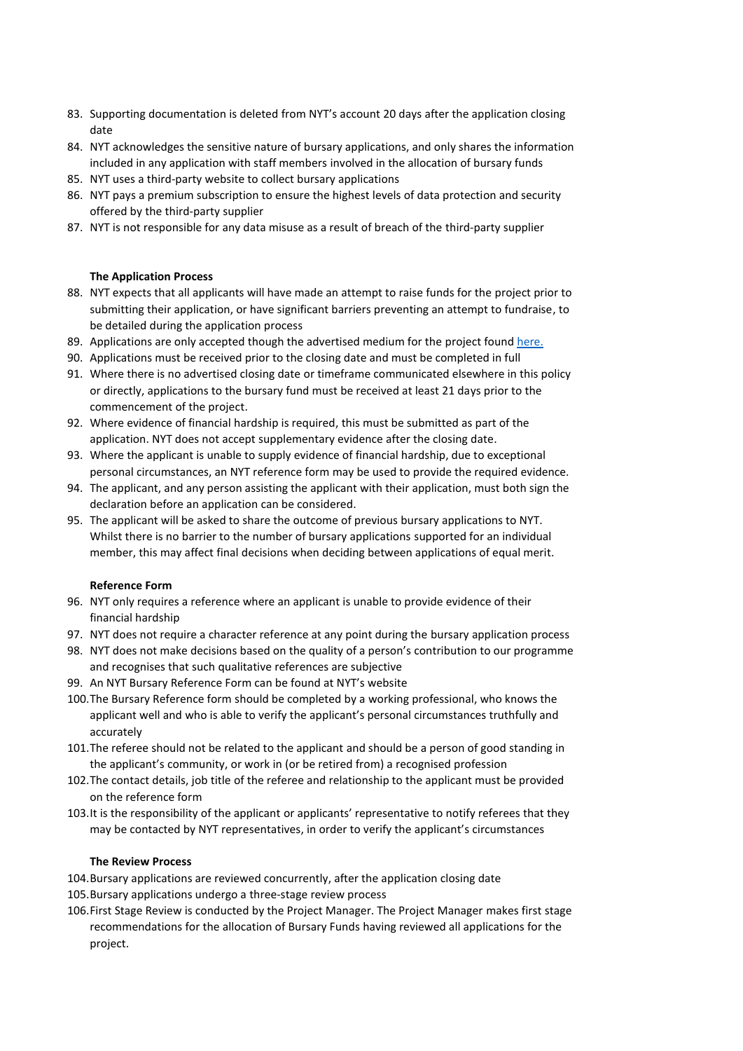- 83. Supporting documentation is deleted from NYT's account 20 days after the application closing date
- 84. NYT acknowledges the sensitive nature of bursary applications, and only shares the information included in any application with staff members involved in the allocation of bursary funds
- 85. NYT uses a third-party website to collect bursary applications
- 86. NYT pays a premium subscription to ensure the highest levels of data protection and security offered by the third-party supplier
- 87. NYT is not responsible for any data misuse as a result of breach of the third-party supplier

# **The Application Process**

- 88. NYT expects that all applicants will have made an attempt to raise funds for the project prior to submitting their application, or have significant barriers preventing an attempt to fundraise, to be detailed during the application process
- 89. Applications are only accepted though the advertised medium for the project foun[d here.](https://www.nyt.org.uk/accessibility-and-bursaries)
- 90. Applications must be received prior to the closing date and must be completed in full
- 91. Where there is no advertised closing date or timeframe communicated elsewhere in this policy or directly, applications to the bursary fund must be received at least 21 days prior to the commencement of the project.
- 92. Where evidence of financial hardship is required, this must be submitted as part of the application. NYT does not accept supplementary evidence after the closing date.
- 93. Where the applicant is unable to supply evidence of financial hardship, due to exceptional personal circumstances, an NYT reference form may be used to provide the required evidence.
- 94. The applicant, and any person assisting the applicant with their application, must both sign the declaration before an application can be considered.
- 95. The applicant will be asked to share the outcome of previous bursary applications to NYT. Whilst there is no barrier to the number of bursary applications supported for an individual member, this may affect final decisions when deciding between applications of equal merit.

### **Reference Form**

- 96. NYT only requires a reference where an applicant is unable to provide evidence of their financial hardship
- 97. NYT does not require a character reference at any point during the bursary application process
- 98. NYT does not make decisions based on the quality of a person's contribution to our programme and recognises that such qualitative references are subjective
- 99. An NYT Bursary Reference Form can be found at NYT's website
- 100.The Bursary Reference form should be completed by a working professional, who knows the applicant well and who is able to verify the applicant's personal circumstances truthfully and accurately
- 101.The referee should not be related to the applicant and should be a person of good standing in the applicant's community, or work in (or be retired from) a recognised profession
- 102.The contact details, job title of the referee and relationship to the applicant must be provided on the reference form
- 103.It is the responsibility of the applicant or applicants' representative to notify referees that they may be contacted by NYT representatives, in order to verify the applicant's circumstances

### **The Review Process**

- 104.Bursary applications are reviewed concurrently, after the application closing date
- 105.Bursary applications undergo a three-stage review process
- 106.First Stage Review is conducted by the Project Manager. The Project Manager makes first stage recommendations for the allocation of Bursary Funds having reviewed all applications for the project.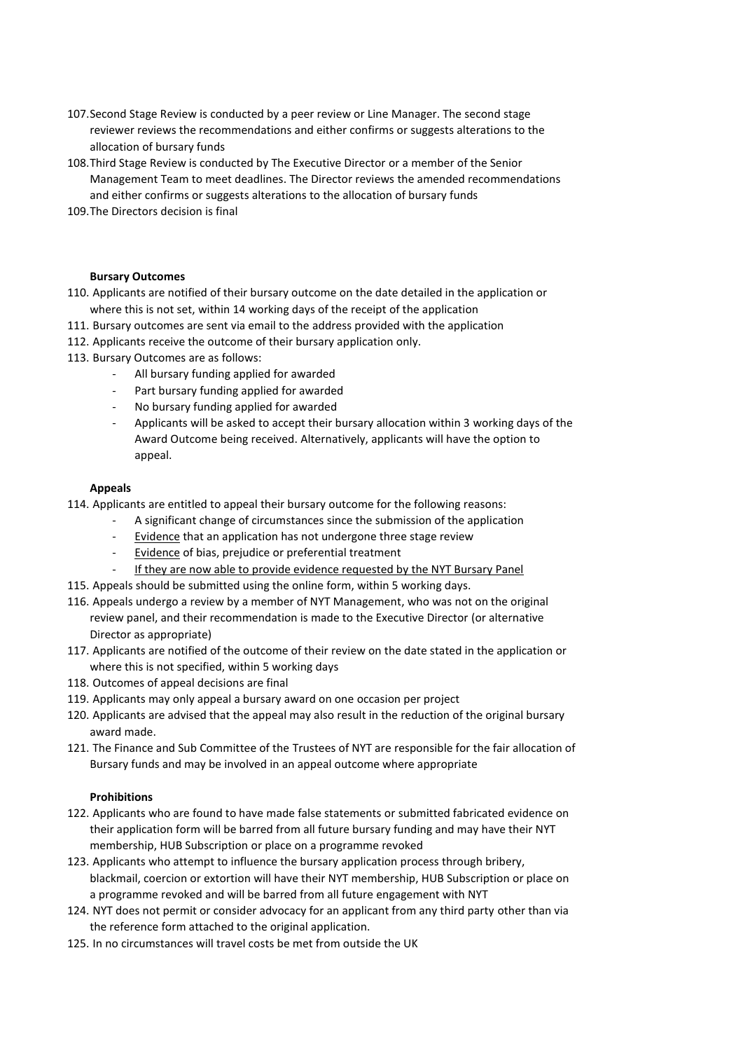- 107.Second Stage Review is conducted by a peer review or Line Manager. The second stage reviewer reviews the recommendations and either confirms or suggests alterations to the allocation of bursary funds
- 108.Third Stage Review is conducted by The Executive Director or a member of the Senior Management Team to meet deadlines. The Director reviews the amended recommendations and either confirms or suggests alterations to the allocation of bursary funds
- 109.The Directors decision is final

### **Bursary Outcomes**

- 110. Applicants are notified of their bursary outcome on the date detailed in the application or where this is not set, within 14 working days of the receipt of the application
- 111. Bursary outcomes are sent via email to the address provided with the application
- 112. Applicants receive the outcome of their bursary application only.
- 113. Bursary Outcomes are as follows:
	- All bursary funding applied for awarded
	- Part bursary funding applied for awarded
	- No bursary funding applied for awarded
	- Applicants will be asked to accept their bursary allocation within 3 working days of the Award Outcome being received. Alternatively, applicants will have the option to appeal.

### **Appeals**

- 114. Applicants are entitled to appeal their bursary outcome for the following reasons:
	- A significant change of circumstances since the submission of the application
		- Evidence that an application has not undergone three stage review
		- Evidence of bias, prejudice or preferential treatment
	- If they are now able to provide evidence requested by the NYT Bursary Panel
- 115. Appeals should be submitted using the online form, within 5 working days.
- 116. Appeals undergo a review by a member of NYT Management, who was not on the original review panel, and their recommendation is made to the Executive Director (or alternative Director as appropriate)
- 117. Applicants are notified of the outcome of their review on the date stated in the application or where this is not specified, within 5 working days
- 118. Outcomes of appeal decisions are final
- 119. Applicants may only appeal a bursary award on one occasion per project
- 120. Applicants are advised that the appeal may also result in the reduction of the original bursary award made.
- 121. The Finance and Sub Committee of the Trustees of NYT are responsible for the fair allocation of Bursary funds and may be involved in an appeal outcome where appropriate

### **Prohibitions**

- 122. Applicants who are found to have made false statements or submitted fabricated evidence on their application form will be barred from all future bursary funding and may have their NYT membership, HUB Subscription or place on a programme revoked
- 123. Applicants who attempt to influence the bursary application process through bribery, blackmail, coercion or extortion will have their NYT membership, HUB Subscription or place on a programme revoked and will be barred from all future engagement with NYT
- 124. NYT does not permit or consider advocacy for an applicant from any third party other than via the reference form attached to the original application.
- 125. In no circumstances will travel costs be met from outside the UK